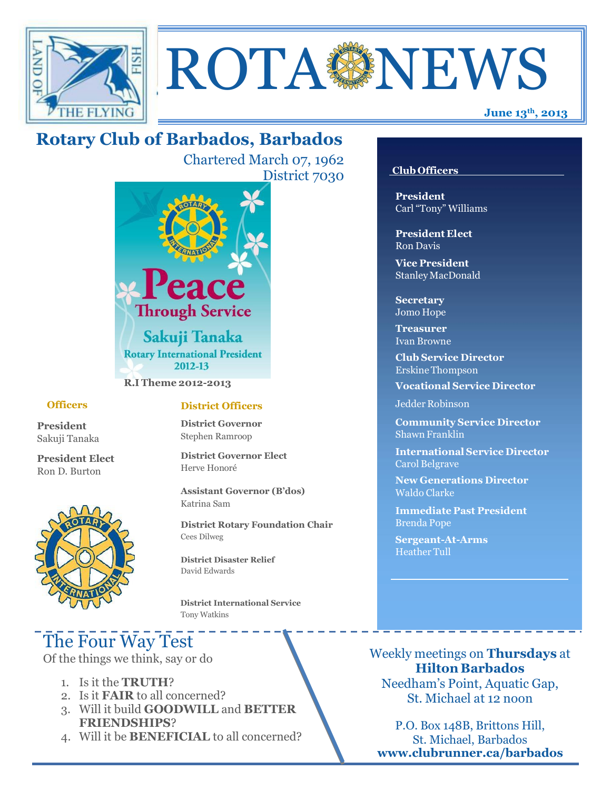



# **Rotary Club of Barbados, Barbados**

Chartered March 07, 1962 District 7030



**R.I Theme 2012-2013**

#### **Officers**

**President** Sakuji Tanaka

**President Elect** Ron D. Burton



### **District Officers**

**District Governor** Stephen Ramroop

**District Governor Elect** Herve Honoré

**Assistant Governor (B'dos)** Katrina Sam

**District Rotary Foundation Chair** Cees Dilweg

**District Disaster Relief**  David Edwards

 **District International Service** Tony Watkins

# The Four Way Test

Of the things we think, say or do

- 1. Is it the **TRUTH**?
- 2. Is it **FAIR** to all concerned?
- 3. Will it build **GOODWILL** and **BETTER FRIENDSHIPS**?
- 4. Will it be **BENEFICIAL** to all concerned?

#### **Club Officers**

**President** Carl "Tony" Williams

**President Elect** Ron Davis

**Vice President** StanleyMacDonald

**Secretary** Jomo Hope

**Treasurer** Ivan Browne

**Club Service Director** Erskine Thompson

**Vocational Service Director**

Jedder Robinson

**Community Service Director** Shawn Franklin

**International Service Director** Carol Belgrave

**New Generations Director** Waldo Clarke

**Immediate Past President** Brenda Pope

**Sergeant-At-Arms** Heather Tull

Weekly meetings on **Thursdays** at **Hilton Barbados** Needham's Point, Aquatic Gap, St. Michael at 12 noon

P.O. Box 148B, Brittons Hill, St. Michael, Barbados **[www.clubrunner.ca/barbados](http://www.clubrunner.ca/barbados)**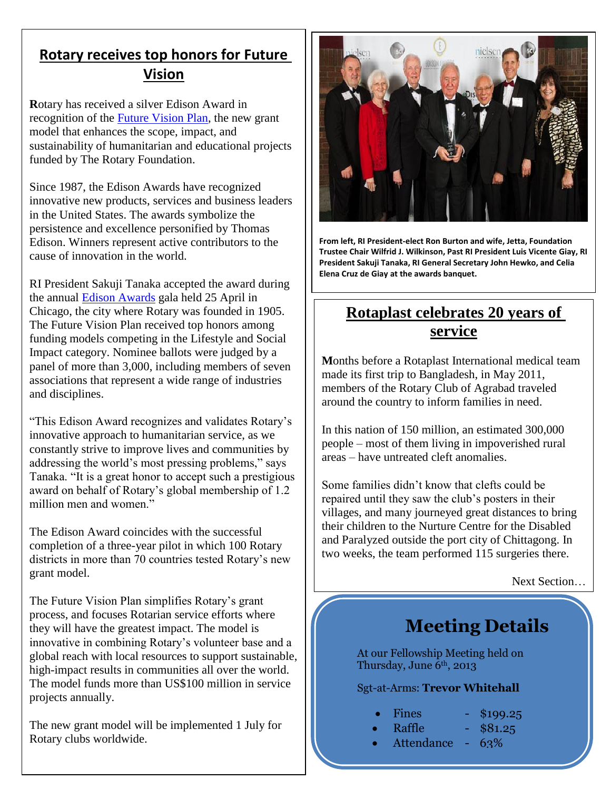# **Rotary receives top honors for Future Vision**

**R**otary has received a silver Edison Award in recognition of the [Future Vision Plan,](http://www.rotary.org/en/grants) the new grant model that enhances the scope, impact, and sustainability of humanitarian and educational projects funded by The Rotary Foundation.

Since 1987, the Edison Awards have recognized innovative new products, services and business leaders in the United States. The awards symbolize the persistence and excellence personified by Thomas Edison. Winners represent active contributors to the cause of innovation in the world.

RI President Sakuji Tanaka accepted the award during the annual [Edison Awards](http://www.edisonawards.com/) gala held 25 April in Chicago, the city where Rotary was founded in 1905. The Future Vision Plan received top honors among funding models competing in the Lifestyle and Social Impact category. Nominee ballots were judged by a panel of more than 3,000, including members of seven associations that represent a wide range of industries and disciplines.

"This Edison Award recognizes and validates Rotary's innovative approach to humanitarian service, as we constantly strive to improve lives and communities by addressing the world's most pressing problems," says Tanaka. "It is a great honor to accept such a prestigious award on behalf of Rotary's global membership of 1.2 million men and women."

The Edison Award coincides with the successful completion of a three-year pilot in which 100 Rotary districts in more than 70 countries tested Rotary's new grant model.

The Future Vision Plan simplifies Rotary's grant process, and focuses Rotarian service efforts where they will have the greatest impact. The model is innovative in combining Rotary's volunteer base and a global reach with local resources to support sustainable, high-impact results in communities all over the world. The model funds more than US\$100 million in service projects annually.

The new grant model will be implemented 1 July for Rotary clubs worldwide.



**From left, RI President-elect Ron Burton and wife, Jetta, Foundation Trustee Chair Wilfrid J. Wilkinson, Past RI President Luis Vicente Giay, RI President Sakuji Tanaka, RI General Secretary John Hewko, and Celia Elena Cruz de Giay at the awards banquet.**

# **Rotaplast celebrates 20 years of service**

**M**onths before a Rotaplast International medical team made its first trip to Bangladesh, in May 2011, members of the Rotary Club of Agrabad traveled around the country to inform families in need.

In this nation of 150 million, an estimated 300,000 people – most of them living in impoverished rural areas – have untreated cleft anomalies.

Some families didn't know that clefts could be repaired until they saw the club's posters in their villages, and many journeyed great distances to bring their children to the Nurture Centre for the Disabled and Paralyzed outside the port city of Chittagong. In two weeks, the team performed 115 surgeries there.

Next Section…

# **Meeting Details**

At our Fellowship Meeting held on Thursday, June  $6<sup>th</sup>$ , 2013

### Sgt-at-Arms: **Trevor Whitehall**

- Fines \$199.25
	-
	- Raffle \$81.25
	- Attendance 63%
- -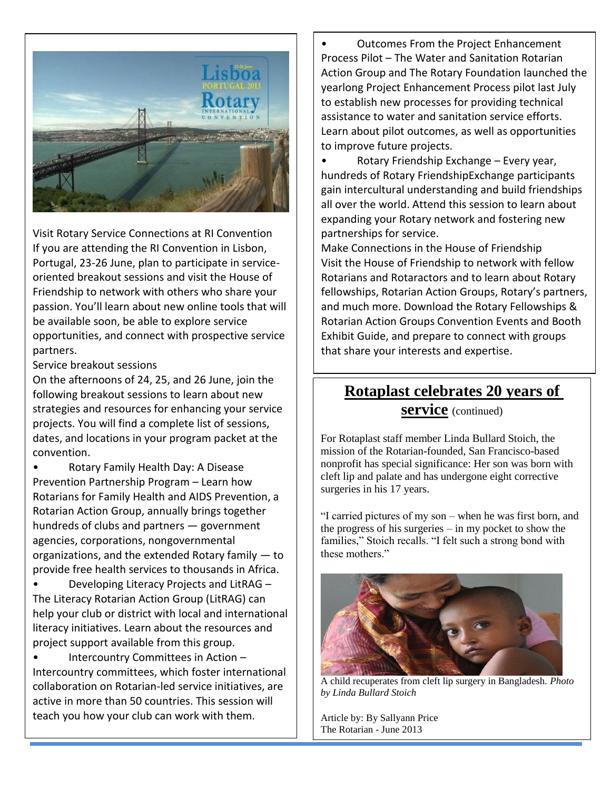

Visit Rotary Service Connections at RI Convention If you are attending the RI Convention in Lisbon, Portugal, 23-26 June, plan to participate in serviceoriented breakout sessions and visit the House of Friendship to network with others who share your passion. You'll learn about new online tools that will be available soon, be able to explore service opportunities, and connect with prospective service partners.

Service breakout sessions

On the afternoons of 24, 25, and 26 June, join the following breakout sessions to learn about new strategies and resources for enhancing your service projects. You will find a complete list of sessions, dates, and locations in your program packet at the convention.

• Rotary Family Health Day: A Disease Prevention Partnership Program – Learn how Rotarians for Family Health and AIDS Prevention, a Rotarian Action Group, annually brings together hundreds of clubs and partners — government agencies, corporations, nongovernmental organizations, and the extended Rotary family — to provide free health services to thousands in Africa.

• Developing Literacy Projects and LitRAG – The Literacy Rotarian Action Group (LitRAG) can help your club or district with local and international literacy initiatives. Learn about the resources and project support available from this group.

• Intercountry Committees in Action – Intercountry committees, which foster international collaboration on Rotarian-led service initiatives, are active in more than 50 countries. This session will teach you how your club can work with them.

• Outcomes From the Project Enhancement Process Pilot – The Water and Sanitation Rotarian Action Group and The Rotary Foundation launched the yearlong Project Enhancement Process pilot last July to establish new processes for providing technical assistance to water and sanitation service efforts. Learn about pilot outcomes, as well as opportunities to improve future projects.

• Rotary Friendship Exchange – Every year, hundreds of Rotary FriendshipExchange participants gain intercultural understanding and build friendships all over the world. Attend this session to learn about expanding your Rotary network and fostering new partnerships for service.

Make Connections in the House of Friendship Visit the House of Friendship to network with fellow Rotarians and Rotaractors and to learn about Rotary fellowships, Rotarian Action Groups, Rotary's partners, and much more. Download the Rotary Fellowships & Rotarian Action Groups Convention Events and Booth Exhibit Guide, and prepare to connect with groups that share your interests and expertise.

# **Rotaplast celebrates 20 years of service** (continued)

For Rotaplast staff member Linda Bullard Stoich, the mission of the Rotarian-founded, San Francisco-based nonprofit has special significance: Her son was born with cleft lip and palate and has undergone eight corrective surgeries in his 17 years.

"I carried pictures of my son – when he was first born, and the progress of his surgeries – in my pocket to show the families," Stoich recalls. "I felt such a strong bond with these mothers."



A child recuperates from cleft lip surgery in Bangladesh. *Photo by Linda Bullard Stoich*

Article by: By Sallyann Price The Rotarian - June 2013